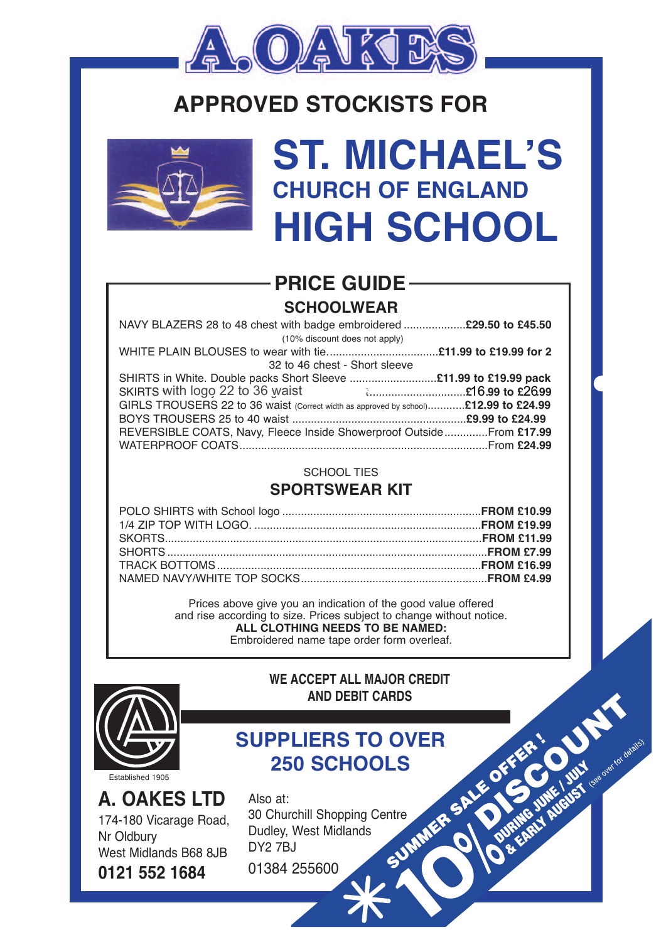

## **APPROvED STOCKISTS FOR**



## **ST. MICHAEL'S CHURCH OF ENGLAND HIGH SCHOOL**

### **SCHOOLWEAR PRICE GUIDE**

| NAVY BLAZERS 28 to 48 chest with badge embroidered 29.50 to £45.50                  |  |
|-------------------------------------------------------------------------------------|--|
| (10% discount does not apply)                                                       |  |
|                                                                                     |  |
| 32 to 46 chest - Short sleeve                                                       |  |
|                                                                                     |  |
| SKIRTS with logo 22 to 36 waist <b>Example 26.2699</b> to £26.99                    |  |
| GIRLS TROUSERS 22 to 36 waist (Correct width as approved by school)£12.99 to £24.99 |  |
|                                                                                     |  |
| REVERSIBLE COATS, Navy, Fleece Inside Showerproof Outside From £17.99               |  |
|                                                                                     |  |

#### SCHOOL TIES

#### **SPORTSWEAR KIT**

Prices above give you an indication of the good value offered and rise according to size. Prices subject to change without notice. **ALL CLOTHING NEEDS TO BE NAMED:** Embroidered name tape order form overleaf.



**WE ACCEPT ALL MAJOR CREDIT AND DEBIT CARDS**

GUST des overlook detailed

# **250 SCHOOLS**

**A. OAKES LTD** 174-180 Vicarage Road, Nr Oldbury West Midlands B68 8JB **0121 552 1684**

**SUPPLIERS TO OVER**<br>
250 SCHOOLS<br>
Also at:<br>
30 Churchill Shopping Centre<br>
Dudley, West Midlands<br>
DY2 7BJ<br>
0138<sup>2</sup> Also at: 30 Churchill Shopping Centre Dudley, West Midlands DY2 7BJ

01384 255600